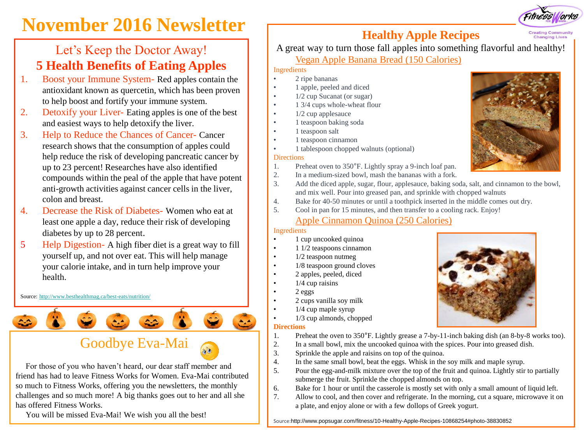# **November 2016 Newsletter Healthy Apple Recipes**

## Let's Keep the Doctor Away! **5 Health Benefits of Eating Apples**

- 1. Boost your Immune System- Red apples contain the antioxidant known as quercetin, which has been proven to help boost and fortify your immune system.
- 2. Detoxify your Liver- Eating apples is one of the best and easiest ways to help detoxify the liver.
- 3. Help to Reduce the Chances of Cancer- Cancer research shows that the consumption of apples could help reduce the risk of developing pancreatic cancer by up to 23 percent! Researches have also identified compounds within the peal of the apple that have potent anti-growth activities against cancer cells in the liver, colon and breast.
- 4. Decrease the Risk of Diabetes- Women who eat at least one apple a day, reduce their risk of developing diabetes by up to 28 percent.
- 5 Help Digestion- A high fiber diet is a great way to fill yourself up, and not over eat. This will help manage your calorie intake, and in turn help improve your health.

Source: <http://www.besthealthmag.ca/best-eats/nutrition/>



## Goodbye Eva-Mai

For those of you who haven't heard, our dear staff member and friend has had to leave Fitness Works for Women. Eva-Mai contributed so much to Fitness Works, offering you the newsletters, the monthly challenges and so much more! A big thanks goes out to her and all she has offered Fitness Works.

You will be missed Eva-Mai! We wish you all the best!

A great way to turn those fall apples into something flavorful and healthy!

### Vegan Apple Banana Bread (150 Calories)

### Ingredients

- 2 ripe bananas
	- 1 apple, peeled and diced
- 1/2 cup Sucanat (or sugar)
- 1 3/4 cups whole-wheat flour
- 1/2 cup applesauce
- 1 teaspoon baking soda
- 1 teaspoon salt
- 1 teaspoon cinnamon
- 1 tablespoon chopped walnuts (optional)

### **Directions**

- 1. Preheat oven to 350°F. Lightly spray a 9-inch loaf pan.
- 2. In a medium-sized bowl, mash the bananas with a fork. 3. Add the diced apple, sugar, flour, applesauce, baking soda, salt, and cinnamon to the bowl, and mix well. Pour into greased pan, and sprinkle with chopped walnuts
- 4. Bake for 40-50 minutes or until a toothpick inserted in the middle comes out dry.
- 5. Cool in pan for 15 minutes, and then transfer to a cooling rack. Enjoy!

## Apple Cinnamon Quinoa (250 Calories)

### Ingredients

- 1 cup uncooked quinoa
- 1 1/2 teaspoons cinnamon
- 1/2 teaspoon nutmeg
- 1/8 teaspoon ground cloves
- 2 apples, peeled, diced
- $1/4$  cup raisins
- 2 eggs
- 2 cups vanilla soy milk
	- 1/4 cup maple syrup
- 1/3 cup almonds, chopped **Directions**
- 1. Preheat the oven to 350°F. Lightly grease a 7-by-11-inch baking dish (an 8-by-8 works too).
- 2. In a small bowl, mix the uncooked quinoa with the spices. Pour into greased dish.
- 3. Sprinkle the apple and raisins on top of the quinoa.
- 4. In the same small bowl, beat the eggs. Whisk in the soy milk and maple syrup.
- 5. Pour the egg-and-milk mixture over the top of the fruit and quinoa. Lightly stir to partially submerge the fruit. Sprinkle the chopped almonds on top.
- 6. Bake for 1 hour or until the casserole is mostly set with only a small amount of liquid left.
- 7. Allow to cool, and then cover and refrigerate. In the morning, cut a square, microwave it on a plate, and enjoy alone or with a few dollops of Greek yogurt.

Source:http://www.popsugar.com/fitness/10-Healthy-Apple-Recipes-10868254#photo-38830852